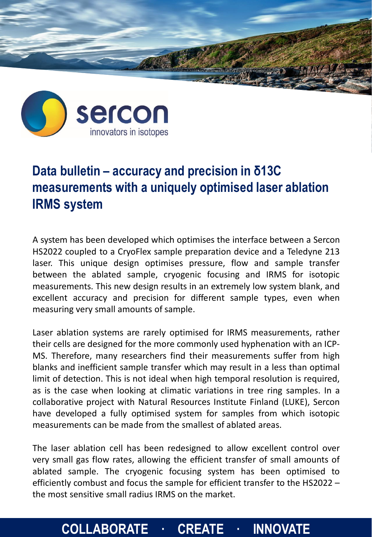



## **Data bulletin – accuracy and precision in δ13C measurements with a uniquely optimised laser ablation IRMS system**

A system has been developed which optimises the interface between a Sercon HS2022 coupled to a CryoFlex sample preparation device and a Teledyne 213 laser. This unique design optimises pressure, flow and sample transfer between the ablated sample, cryogenic focusing and IRMS for isotopic measurements. This new design results in an extremely low system blank, and excellent accuracy and precision for different sample types, even when measuring very small amounts of sample.

Laser ablation systems are rarely optimised for IRMS measurements, rather their cells are designed for the more commonly used hyphenation with an ICP-MS. Therefore, many researchers find their measurements suffer from high blanks and inefficient sample transfer which may result in a less than optimal limit of detection. This is not ideal when high temporal resolution is required, as is the case when looking at climatic variations in tree ring samples. In a collaborative project with Natural Resources Institute Finland (LUKE), Sercon have developed a fully optimised system for samples from which isotopic measurements can be made from the smallest of ablated areas.

The laser ablation cell has been redesigned to allow excellent control over very small gas flow rates, allowing the efficient transfer of small amounts of ablated sample. The cryogenic focusing system has been optimised to efficiently combust and focus the sample for efficient transfer to the HS2022 – the most sensitive small radius IRMS on the market.

## **COLLABORATE · CREATE · INNOVATE**